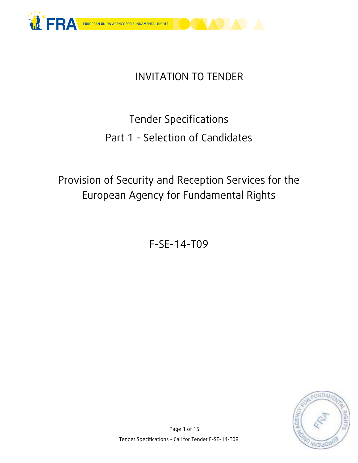

## INVITATION TO TENDER

# Tender Specifications Part 1 - Selection of Candidates

## Provision of Security and Reception Services for the European Agency for Fundamental Rights

F-SE-14-T09

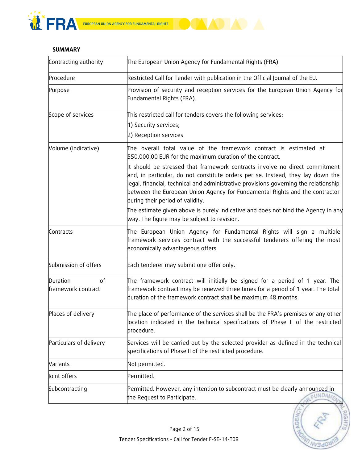



#### **SUMMARY**

| Contracting authority                | The European Union Agency for Fundamental Rights (FRA)                                                                                                                                                                                                                                                                                                                    |
|--------------------------------------|---------------------------------------------------------------------------------------------------------------------------------------------------------------------------------------------------------------------------------------------------------------------------------------------------------------------------------------------------------------------------|
| Procedure                            | Restricted Call for Tender with publication in the Official Journal of the EU.                                                                                                                                                                                                                                                                                            |
| Purpose                              | Provision of security and reception services for the European Union Agency for<br>Fundamental Rights (FRA).                                                                                                                                                                                                                                                               |
| Scope of services                    | This restricted call for tenders covers the following services:                                                                                                                                                                                                                                                                                                           |
|                                      | 1) Security services;                                                                                                                                                                                                                                                                                                                                                     |
|                                      | 2) Reception services                                                                                                                                                                                                                                                                                                                                                     |
| Volume (indicative)                  | The overall total value of the framework contract is estimated at<br>550,000.00 EUR for the maximum duration of the contract.                                                                                                                                                                                                                                             |
|                                      | It should be stressed that framework contracts involve no direct commitment<br>and, in particular, do not constitute orders per se. Instead, they lay down the<br>legal, financial, technical and administrative provisions governing the relationship<br>between the European Union Agency for Fundamental Rights and the contractor<br>during their period of validity. |
|                                      | The estimate given above is purely indicative and does not bind the Agency in any<br>way. The figure may be subject to revision.                                                                                                                                                                                                                                          |
| Contracts                            | The European Union Agency for Fundamental Rights will sign a multiple<br>framework services contract with the successful tenderers offering the most<br>economically advantageous offers                                                                                                                                                                                  |
| Submission of offers                 | Each tenderer may submit one offer only.                                                                                                                                                                                                                                                                                                                                  |
| Duration<br>of<br>framework contract | The framework contract will initially be signed for a period of 1 year. The<br>framework contract may be renewed three times for a period of 1 year. The total<br>duration of the framework contract shall be maximum 48 months.                                                                                                                                          |
| Places of delivery                   | The place of performance of the services shall be the FRA's premises or any other<br>location indicated in the technical specifications of Phase II of the restricted<br>procedure.                                                                                                                                                                                       |
| Particulars of delivery              | Services will be carried out by the selected provider as defined in the technical<br>specifications of Phase II of the restricted procedure.                                                                                                                                                                                                                              |
| Variants                             | Not permitted.                                                                                                                                                                                                                                                                                                                                                            |
| Joint offers                         | Permitted.                                                                                                                                                                                                                                                                                                                                                                |
| Subcontracting                       | Permitted. However, any intention to subcontract must be clearly announced in<br>FUNDAM<br>the Request to Participate.                                                                                                                                                                                                                                                    |

RIGHTS

RED

**WHAO** 

**A AGEA**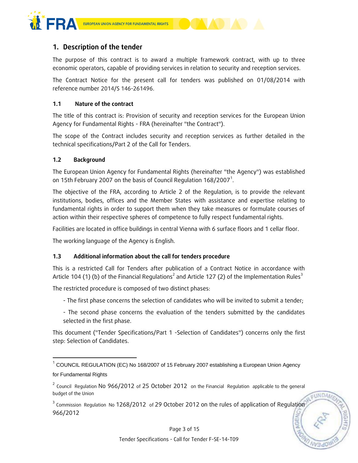

#### **1. Description of the tender**

The purpose of this contract is to award a multiple framework contract, with up to three economic operators, capable of providing services in relation to security and reception services.

The Contract Notice for the present call for tenders was published on 01/08/2014 with reference number 2014/S 146-261496.

#### **1.1 Nature of the contract**

The title of this contract is: Provision of security and reception services for the European Union Agency for Fundamental Rights - FRA (hereinafter "the Contract").

The scope of the Contract includes security and reception services as further detailed in the technical specifications/Part 2 of the Call for Tenders.

#### **1.2 Background**

-

The European Union Agency for Fundamental Rights (hereinafter "the Agency") was established on 15th February 2007 on the basis of Council Regulation 168/2007 $^1$ .

The objective of the FRA, according to Article 2 of the Regulation, is to provide the relevant institutions, bodies, offices and the Member States with assistance and expertise relating to fundamental rights in order to support them when they take measures or formulate courses of action within their respective spheres of competence to fully respect fundamental rights.

Facilities are located in office buildings in central Vienna with 6 surface floors and 1 cellar floor.

The working language of the Agency is English.

#### **1.3 Additional information about the call for tenders procedure**

This is a restricted Call for Tenders after publication of a Contract Notice in accordance with Article 104 (1) (b) of the Financial Regulations<sup>2</sup> and Article 127 (2) of the Implementation Rules<sup>3</sup>

The restricted procedure is composed of two distinct phases:

- The first phase concerns the selection of candidates who will be invited to submit a tender;
- The second phase concerns the evaluation of the tenders submitted by the candidates selected in the first phase.

This document ("Tender Specifications/Part 1 -Selection of Candidates") concerns only the first step: Selection of Candidates.

 $3$  Commission Regulation No 1268/2012 of 29 October 2012 on the rules of application of Regulation 966/2012

Page 3 of 15

EUNDAN

 $^{1}$  COUNCIL REGULATION (EC) No 168/2007 of 15 February 2007 establishing a European Union Agency for Fundamental Rights

<sup>&</sup>lt;sup>2</sup> Council Regulation No 966/2012 of 25 October 2012 on the Financial Regulation applicable to the general budget of the Union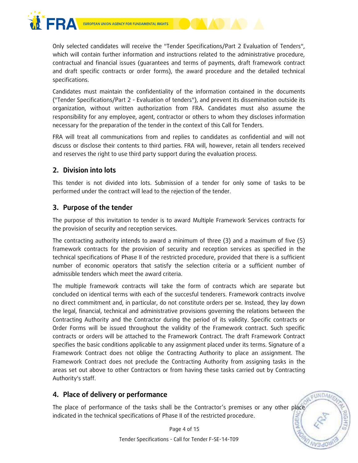

Only selected candidates will receive the "Tender Specifications/Part 2 Evaluation of Tenders", which will contain further information and instructions related to the administrative procedure, contractual and financial issues (guarantees and terms of payments, draft framework contract and draft specific contracts or order forms), the award procedure and the detailed technical specifications.

Candidates must maintain the confidentiality of the information contained in the documents ("Tender Specifications/Part 2 - Evaluation of tenders"), and prevent its dissemination outside its organization, without written authorization from FRA. Candidates must also assume the responsibility for any employee, agent, contractor or others to whom they discloses information necessary for the preparation of the tender in the context of this Call for Tenders.

FRA will treat all communications from and replies to candidates as confidential and will not discuss or disclose their contents to third parties. FRA will, however, retain all tenders received and reserves the right to use third party support during the evaluation process.

## **2. Division into lots**

This tender is not divided into lots. Submission of a tender for only some of tasks to be performed under the contract will lead to the rejection of the tender.

## **3. Purpose of the tender**

The purpose of this invitation to tender is to award Multiple Framework Services contracts for the provision of security and reception services.

The contracting authority intends to award a minimum of three (3) and a maximum of five (5) framework contracts for the provision of security and reception services as specified in the technical specifications of Phase II of the restricted procedure, provided that there is a sufficient number of economic operators that satisfy the selection criteria or a sufficient number of admissible tenders which meet the award criteria.

The multiple framework contracts will take the form of contracts which are separate but concluded on identical terms with each of the succesful tenderers. Framework contracts involve no direct commitment and, in particular, do not constitute orders per se. Instead, they lay down the legal, financial, technical and administrative provisions governing the relations between the Contracting Authority and the Contractor during the period of its validity. Specific contracts or Order Forms will be issued throughout the validity of the Framework contract. Such specific contracts or orders will be attached to the Framework Contract. The draft Framework Contract specifies the basic conditions applicable to any assignment placed under its terms. Signature of a Framework Contract does not oblige the Contracting Authority to place an assignment. The Framework Contract does not preclude the Contracting Authority from assigning tasks in the areas set out above to other Contractors or from having these tasks carried out by Contracting Authority's staff.

## **4. Place of delivery or performance**

The place of performance of the tasks shall be the Contractor's premises or any other place indicated in the technical specifications of Phase II of the restricted procedure.

> Page 4 of 15 Tender Specifications - Call for Tender F-SE-14-T09

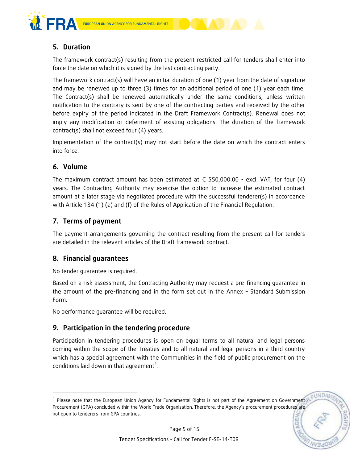



The framework contract(s) resulting from the present restricted call for tenders shall enter into force the date on which it is signed by the last contracting party.

The framework contract(s) will have an initial duration of one (1) year from the date of signature and may be renewed up to three (3) times for an additional period of one (1) year each time. The Contract(s) shall be renewed automatically under the same conditions, unless written notification to the contrary is sent by one of the contracting parties and received by the other before expiry of the period indicated in the Draft Framework Contract(s). Renewal does not imply any modification or deferment of existing obligations. The duration of the framework contract(s) shall not exceed four (4) years.

Implementation of the contract(s) may not start before the date on which the contract enters into force.

## **6. Volume**

-

The maximum contract amount has been estimated at  $\epsilon$  550,000.00 - excl. VAT, for four (4) years. The Contracting Authority may exercise the option to increase the estimated contract amount at a later stage via negotiated procedure with the successful tenderer(s) in accordance with Article 134 (1) (e) and (f) of the Rules of Application of the Financial Regulation.

## **7. Terms of payment**

The payment arrangements governing the contract resulting from the present call for tenders are detailed in the relevant articles of the Draft framework contract.

## **8. Financial guarantees**

No tender guarantee is required.

Based on a risk assessment, the Contracting Authority may request a pre-financing guarantee in the amount of the pre-financing and in the form set out in the Annex – Standard Submission Form.

No performance guarantee will be required.

## **9. Participation in the tendering procedure**

Participation in tendering procedures is open on equal terms to all natural and legal persons coming within the scope of the Treaties and to all natural and legal persons in a third country which has a special agreement with the Communities in the field of public procurement on the conditions laid down in that agreement<sup>4</sup>.

 $^4$  Please note that the European Union Agency for Fundamental Rights is not part of the Agreement on Government Procurement (GPA) concluded within the World Trade Organisation. Therefore, the Agency's procurement procedures are not open to tenderers from GPA countries.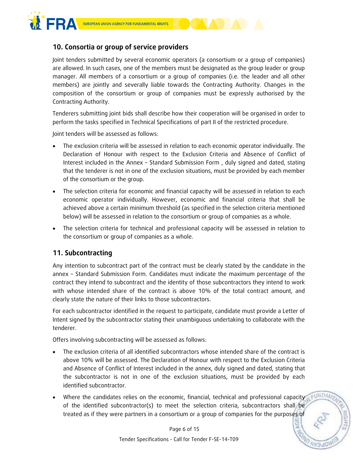

## **10. Consortia or group of service providers**

Joint tenders submitted by several economic operators (a consortium or a group of companies) are allowed. In such cases, one of the members must be designated as the group leader or group manager. All members of a consortium or a group of companies (i.e. the leader and all other members) are jointly and severally liable towards the Contracting Authority. Changes in the composition of the consortium or group of companies must be expressly authorised by the Contracting Authority.

Tenderers submitting joint bids shall describe how their cooperation will be organised in order to perform the tasks specified in Technical Specifications of part II of the restricted procedure.

Joint tenders will be assessed as follows:

- The exclusion criteria will be assessed in relation to each economic operator individually. The Declaration of Honour with respect to the Exclusion Criteria and Absence of Conflict of Interest included in the Annex – Standard Submission Form , duly signed and dated, stating that the tenderer is not in one of the exclusion situations, must be provided by each member of the consortium or the group.
- The selection criteria for economic and financial capacity will be assessed in relation to each economic operator individually. However, economic and financial criteria that shall be achieved above a certain minimum threshold (as specified in the selection criteria mentioned below) will be assessed in relation to the consortium or group of companies as a whole.
- The selection criteria for technical and professional capacity will be assessed in relation to the consortium or group of companies as a whole.

## **11. Subcontracting**

Any intention to subcontract part of the contract must be clearly stated by the candidate in the annex – Standard Submission Form. Candidates must indicate the maximum percentage of the contract they intend to subcontract and the identity of those subcontractors they intend to work with whose intended share of the contract is above 10% of the total contract amount, and clearly state the nature of their links to those subcontractors.

For each subcontractor identified in the request to participate, candidate must provide a Letter of Intent signed by the subcontractor stating their unambiguous undertaking to collaborate with the tenderer.

Offers involving subcontracting will be assessed as follows:

- The exclusion criteria of all identified subcontractors whose intended share of the contract is above 10% will be assessed. The Declaration of Honour with respect to the Exclusion Criteria and Absence of Conflict of Interest included in the annex, duly signed and dated, stating that the subcontractor is not in one of the exclusion situations, must be provided by each identified subcontractor.
- Where the candidates relies on the economic, financial, technical and professional capacity of the identified subcontractor(s) to meet the selection criteria, subcontractors shall be treated as if they were partners in a consortium or a group of companies for the purposes of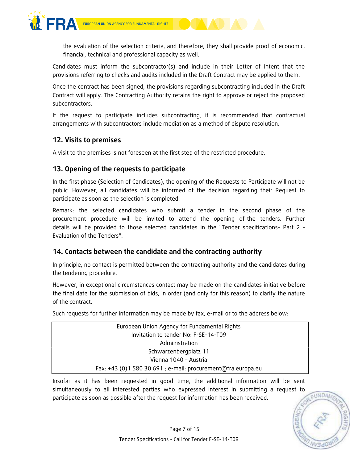

the evaluation of the selection criteria, and therefore, they shall provide proof of economic, financial, technical and professional capacity as well.

Candidates must inform the subcontractor(s) and include in their Letter of Intent that the provisions referring to checks and audits included in the Draft Contract may be applied to them.

Once the contract has been signed, the provisions regarding subcontracting included in the Draft Contract will apply. The Contracting Authority retains the right to approve or reject the proposed subcontractors.

If the request to participate includes subcontracting, it is recommended that contractual arrangements with subcontractors include mediation as a method of dispute resolution.

## **12. Visits to premises**

A visit to the premises is not foreseen at the first step of the restricted procedure.

## **13. Opening of the requests to participate**

In the first phase (Selection of Candidates), the opening of the Requests to Participate will not be public. However, all candidates will be informed of the decision regarding their Request to participate as soon as the selection is completed.

Remark: the selected candidates who submit a tender in the second phase of the procurement procedure will be invited to attend the opening of the tenders. Further details will be provided to those selected candidates in the "Tender specifications- Part 2 - Evaluation of the Tenders".

## **14. Contacts between the candidate and the contracting authority**

In principle, no contact is permitted between the contracting authority and the candidates during the tendering procedure.

However, in exceptional circumstances contact may be made on the candidates initiative before the final date for the submission of bids, in order (and only for this reason) to clarify the nature of the contract.

Such requests for further information may be made by fax, e-mail or to the address below:

| European Union Agency for Fundamental Rights                 |  |
|--------------------------------------------------------------|--|
| Invitation to tender No: F-SE-14-T09                         |  |
| Administration                                               |  |
| Schwarzenbergplatz 11                                        |  |
| Vienna 1040 - Austria                                        |  |
| Fax: +43 (0)1 580 30 691 ; e-mail: procurement@fra.europa.eu |  |

Insofar as it has been requested in good time, the additional information will be sent simultaneously to all interested parties who expressed interest in submitting a request to participate as soon as possible after the request for information has been received.

FUNDAM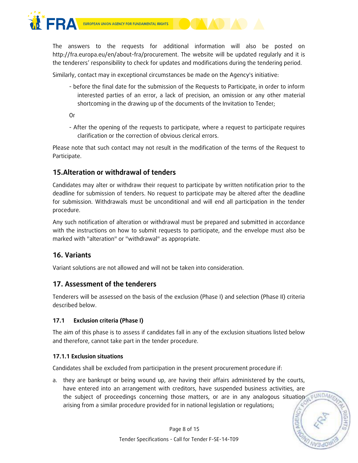



The answers to the requests for additional information will also be posted on http://fra.europa.eu/en/about-fra/procurement. The website will be updated regularly and it is the tenderers' responsibility to check for updates and modifications during the tendering period.

Similarly, contact may in exceptional circumstances be made on the Agency's initiative:

- before the final date for the submission of the Requests to Participate, in order to inform interested parties of an error, a lack of precision, an omission or any other material shortcoming in the drawing up of the documents of the Invitation to Tender;

Or

- After the opening of the requests to participate, where a request to participate requires clarification or the correction of obvious clerical errors.

Please note that such contact may not result in the modification of the terms of the Request to Participate.

## **15.Alteration or withdrawal of tenders**

Candidates may alter or withdraw their request to participate by written notification prior to the deadline for submission of tenders. No request to participate may be altered after the deadline for submission. Withdrawals must be unconditional and will end all participation in the tender procedure.

Any such notification of alteration or withdrawal must be prepared and submitted in accordance with the instructions on how to submit requests to participate, and the envelope must also be marked with "alteration" or "withdrawal" as appropriate.

## **16. Variants**

Variant solutions are not allowed and will not be taken into consideration.

## **17. Assessment of the tenderers**

Tenderers will be assessed on the basis of the exclusion (Phase I) and selection (Phase II) criteria described below.

#### **17.1 Exclusion criteria (Phase I)**

The aim of this phase is to assess if candidates fall in any of the exclusion situations listed below and therefore, cannot take part in the tender procedure.

#### **17.1.1 Exclusion situations**

Candidates shall be excluded from participation in the present procurement procedure if:

a. they are bankrupt or being wound up, are having their affairs administered by the courts, have entered into an arrangement with creditors, have suspended business activities, are the subject of proceedings concerning those matters, or are in any analogous situation seundan arising from a similar procedure provided for in national legislation or regulations;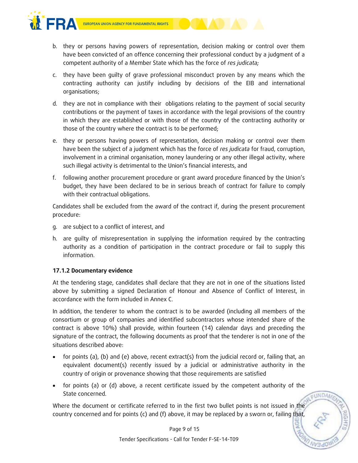

- b. they or persons having powers of representation, decision making or control over them have been convicted of an offence concerning their professional conduct by a judgment of a competent authority of a Member State which has the force of *res judicata;*
- c. they have been guilty of grave professional misconduct proven by any means which the contracting authority can justify including by decisions of the EIB and international organisations;
- d. they are not in compliance with their obligations relating to the payment of social security contributions or the payment of taxes in accordance with the legal provisions of the country in which they are established or with those of the country of the contracting authority or those of the country where the contract is to be performed;
- e. they or persons having powers of representation, decision making or control over them have been the subject of a judgment which has the force of *res judicata* for fraud, corruption, involvement in a criminal organisation, money laundering or any other illegal activity, where such illegal activity is detrimental to the Union's financial interests, and
- f. following another procurement procedure or grant award procedure financed by the Union's budget, they have been declared to be in serious breach of contract for failure to comply with their contractual obligations.

Candidates shall be excluded from the award of the contract if, during the present procurement procedure:

- g. are subject to a conflict of interest, and
- h. are guilty of misrepresentation in supplying the information required by the contracting authority as a condition of participation in the contract procedure or fail to supply this information.

#### **17.1.2 Documentary evidence**

At the tendering stage, candidates shall declare that they are not in one of the situations listed above by submitting a signed Declaration of Honour and Absence of Conflict of Interest, in accordance with the form included in Annex C.

In addition, the tenderer to whom the contract is to be awarded (including all members of the consortium or group of companies and identified subcontractors whose intended share of the contract is above 10%) shall provide, within fourteen (14) calendar days and preceding the signature of the contract, the following documents as proof that the tenderer is not in one of the situations described above:

- for points (a), (b) and (e) above, recent extract(s) from the judicial record or, failing that, an equivalent document(s) recently issued by a judicial or administrative authority in the country of origin or provenance showing that those requirements are satisfied
- for points (a) or (d) above, a recent certificate issued by the competent authority of the State concerned.

FUNDAM

Where the document or certificate referred to in the first two bullet points is not issued in the country concerned and for points (c) and (f) above, it may be replaced by a sworn or, failing that,

Page 9 of 15

Tender Specifications - Call for Tender F-SE-14-T09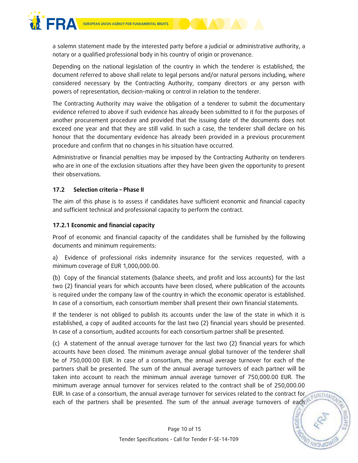

a solemn statement made by the interested party before a judicial or administrative authority, a notary or a qualified professional body in his country of origin or provenance.

Depending on the national legislation of the country in which the tenderer is established, the document referred to above shall relate to legal persons and/or natural persons including, where considered necessary by the Contracting Authority, company directors or any person with powers of representation, decision-making or control in relation to the tenderer.

The Contracting Authority may waive the obligation of a tenderer to submit the documentary evidence referred to above if such evidence has already been submitted to it for the purposes of another procurement procedure and provided that the issuing date of the documents does not exceed one year and that they are still valid. In such a case, the tenderer shall declare on his honour that the documentary evidence has already been provided in a previous procurement procedure and confirm that no changes in his situation have occurred.

Administrative or financial penalties may be imposed by the Contracting Authority on tenderers who are in one of the exclusion situations after they have been given the opportunity to present their observations.

#### **17.2 Selection criteria – Phase II**

The aim of this phase is to assess if candidates have sufficient economic and financial capacity and sufficient technical and professional capacity to perform the contract.

#### **17.2.1 Economic and financial capacity**

Proof of economic and financial capacity of the candidates shall be furnished by the following documents and minimum requirements:

a) Evidence of professional risks indemnity insurance for the services requested, with a minimum coverage of EUR 1,000,000.00.

(b) Copy of the financial statements (balance sheets, and profit and loss accounts) for the last two (2) financial years for which accounts have been closed, where publication of the accounts is required under the company law of the country in which the economic operator is established. In case of a consortium, each consortium member shall present their own financial statements.

If the tenderer is not obliged to publish its accounts under the law of the state in which it is established, a copy of audited accounts for the last two (2) financial years should be presented. In case of a consortium, audited accounts for each consortium partner shall be presented.

(c) A statement of the annual average turnover for the last two (2) financial years for which accounts have been closed. The minimum average annual global turnover of the tenderer shall be of 750,000.00 EUR. In case of a consortium, the annual average turnover for each of the partners shall be presented. The sum of the annual average turnovers of each partner will be taken into account to reach the minimum annual average turnover of 750,000.00 EUR. The minimum average annual turnover for services related to the contract shall be of 250,000.00 EUR. In case of a consortium, the annual average turnover for services related to the contract for each of the partners shall be presented. The sum of the annual average turnovers of each

**EUNDAR**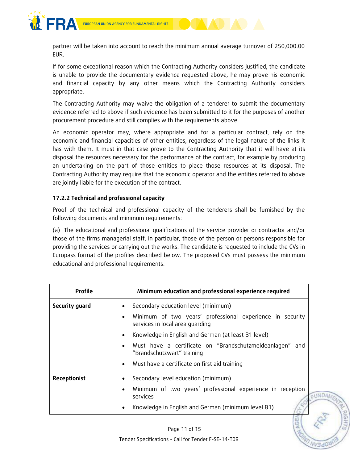

partner will be taken into account to reach the minimum annual average turnover of 250,000.00 EUR.

If for some exceptional reason which the Contracting Authority considers justified, the candidate is unable to provide the documentary evidence requested above, he may prove his economic and financial capacity by any other means which the Contracting Authority considers appropriate.

The Contracting Authority may waive the obligation of a tenderer to submit the documentary evidence referred to above if such evidence has been submitted to it for the purposes of another procurement procedure and still complies with the requirements above.

An economic operator may, where appropriate and for a particular contract, rely on the economic and financial capacities of other entities, regardless of the legal nature of the links it has with them. It must in that case prove to the Contracting Authority that it will have at its disposal the resources necessary for the performance of the contract, for example by producing an undertaking on the part of those entities to place those resources at its disposal. The Contracting Authority may require that the economic operator and the entities referred to above are jointly liable for the execution of the contract.

#### **17.2.2 Technical and professional capacity**

Proof of the technical and professional capacity of the tenderers shall be furnished by the following documents and minimum requirements:

(a) The educational and professional qualifications of the service provider or contractor and/or those of the firms managerial staff, in particular, those of the person or persons responsible for providing the services or carrying out the works. The candidate is requested to include the CVs in Europass format of the profiles described below. The proposed CVs must possess the minimum educational and professional requirements.

| <b>Profile</b> | Minimum education and professional experience required                                                    |
|----------------|-----------------------------------------------------------------------------------------------------------|
| Security guard | Secondary education level (minimum)<br>$\bullet$                                                          |
|                | Minimum of two years' professional experience in security<br>$\bullet$<br>services in local area guarding |
|                | Knowledge in English and German (at least B1 level)<br>$\bullet$                                          |
|                | Must have a certificate on "Brandschutzmeldeanlagen" and<br>$\bullet$<br>"Brandschutzwart" training       |
|                | Must have a certificate on first aid training<br>٠                                                        |
| Receptionist   | Secondary level education (minimum)<br>$\bullet$                                                          |
|                | Minimum of two years' professional experience in reception<br>$\bullet$<br>$\epsilon$ U<br>services       |
|                | Knowledge in English and German (minimum level B1)<br>$\bullet$                                           |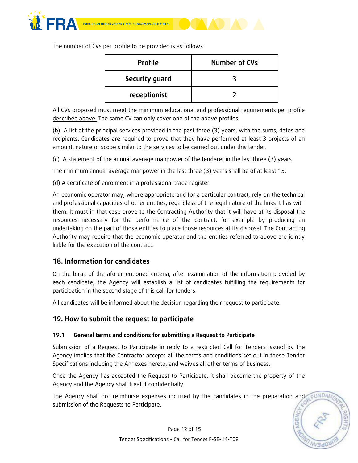

The number of CVs per profile to be provided is as follows:

| <b>Profile</b> | Number of CVs |
|----------------|---------------|
| Security guard |               |
| receptionist   |               |

All CVs proposed must meet the minimum educational and professional requirements per profile described above. The same CV can only cover one of the above profiles.

(b) A list of the principal services provided in the past three (3) years, with the sums, dates and recipients. Candidates are required to prove that they have performed at least 3 projects of an amount, nature or scope similar to the services to be carried out under this tender.

(c) A statement of the annual average manpower of the tenderer in the last three (3) years.

The minimum annual average manpower in the last three (3) years shall be of at least 15.

(d) A certificate of enrolment in a professional trade register

An economic operator may, where appropriate and for a particular contract, rely on the technical and professional capacities of other entities, regardless of the legal nature of the links it has with them. It must in that case prove to the Contracting Authority that it will have at its disposal the resources necessary for the performance of the contract, for example by producing an undertaking on the part of those entities to place those resources at its disposal. The Contracting Authority may require that the economic operator and the entities referred to above are jointly liable for the execution of the contract.

## **18. Information for candidates**

On the basis of the aforementioned criteria, after examination of the information provided by each candidate, the Agency will establish a list of candidates fulfilling the requirements for participation in the second stage of this call for tenders.

All candidates will be informed about the decision regarding their request to participate.

## **19. How to submit the request to participate**

#### **19.1 General terms and conditions for submitting a Request to Participate**

Submission of a Request to Participate in reply to a restricted Call for Tenders issued by the Agency implies that the Contractor accepts all the terms and conditions set out in these Tender Specifications including the Annexes hereto, and waives all other terms of business.

Once the Agency has accepted the Request to Participate, it shall become the property of the Agency and the Agency shall treat it confidentially.

The Agency shall not reimburse expenses incurred by the candidates in the preparation and submission of the Requests to Participate.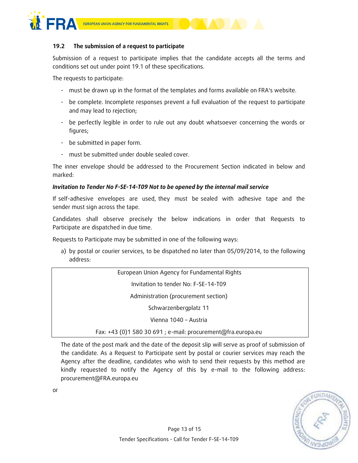

or



Submission of a request to participate implies that the candidate accepts all the terms and conditions set out under point 19.1 of these specifications.

The requests to participate:

- must be drawn up in the format of the templates and forms available on FRA's website.
- be complete. Incomplete responses prevent a full evaluation of the request to participate and may lead to rejection;
- be perfectly legible in order to rule out any doubt whatsoever concerning the words or figures;
- be submitted in paper form.
- must be submitted under double sealed cover.

The inner envelope should be addressed to the Procurement Section indicated in below and marked:

#### *Invitation to Tender No F-SE-14-T09 Not to be opened by the internal mail service*

If self-adhesive envelopes are used, they must be sealed with adhesive tape and the sender must sign across the tape.

Candidates shall observe precisely the below indications in order that Requests to Participate are dispatched in due time.

Requests to Participate may be submitted in one of the following ways:

a) by postal or courier services, to be dispatched no later than 05/09/2014, to the following address:

| European Union Agency for Fundamental Rights                 |  |  |
|--------------------------------------------------------------|--|--|
| Invitation to tender No: F-SE-14-T09                         |  |  |
| Administration (procurement section)                         |  |  |
| Schwarzenbergplatz 11                                        |  |  |
| Vienna 1040 - Austria                                        |  |  |
| Fax: +43 (0)1 580 30 691 ; e-mail: procurement@fra.europa.eu |  |  |

The date of the post mark and the date of the deposit slip will serve as proof of submission of the candidate. As a Request to Participate sent by postal or courier services may reach the Agency after the deadline, candidates who wish to send their requests by this method are kindly requested to notify the Agency of this by e-mail to the following address: procurement@FRA.europa.eu

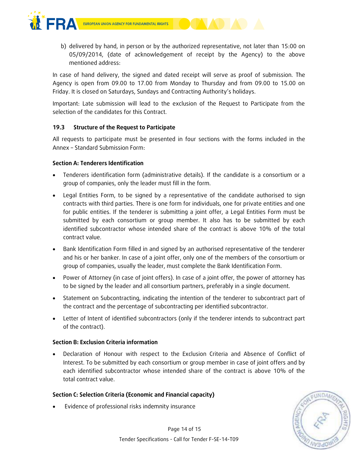

b) delivered by hand, in person or by the authorized representative, not later than 15:00 on 05/09/2014, (date of acknowledgement of receipt by the Agency) to the above mentioned address:

In case of hand delivery, the signed and dated receipt will serve as proof of submission. The Agency is open from 09.00 to 17.00 from Monday to Thursday and from 09.00 to 15.00 on Friday. It is closed on Saturdays, Sundays and Contracting Authority's holidays.

Important: Late submission will lead to the exclusion of the Request to Participate from the selection of the candidates for this Contract.

#### **19.3 Structure of the Request to Participate**

All requests to participate must be presented in four sections with the forms included in the Annex – Standard Submission Form:

#### **Section A: Tenderers Identification**

- Tenderers identification form (administrative details). If the candidate is a consortium or a group of companies, only the leader must fill in the form.
- Legal Entities Form, to be signed by a representative of the candidate authorised to sign contracts with third parties. There is one form for individuals, one for private entities and one for public entities. If the tenderer is submitting a joint offer, a Legal Entities Form must be submitted by each consortium or group member. It also has to be submitted by each identified subcontractor whose intended share of the contract is above 10% of the total contract value.
- Bank Identification Form filled in and signed by an authorised representative of the tenderer and his or her banker. In case of a joint offer, only one of the members of the consortium or group of companies, usually the leader, must complete the Bank Identification Form.
- Power of Attorney (in case of joint offers). In case of a joint offer, the power of attorney has to be signed by the leader and all consortium partners, preferably in a single document.
- Statement on Subcontracting, indicating the intention of the tenderer to subcontract part of the contract and the percentage of subcontracting per identified subcontractor.
- Letter of Intent of identified subcontractors (only if the tenderer intends to subcontract part of the contract).

#### **Section B: Exclusion Criteria information**

 Declaration of Honour with respect to the Exclusion Criteria and Absence of Conflict of Interest. To be submitted by each consortium or group member in case of joint offers and by each identified subcontractor whose intended share of the contract is above 10% of the total contract value.

#### **Section C: Selection Criteria (Economic and Financial capacity)**

Evidence of professional risks indemnity insurance